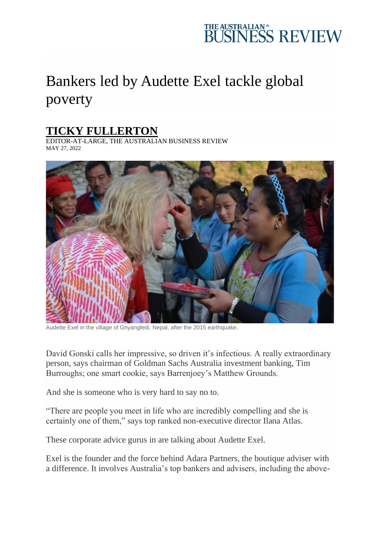## THE AUSTRALIAN\*<br>BUSINESS REVIEW

## Bankers led by Audette Exel tackle global poverty

## **[TICKY FULLERTON](https://www.theaustralian.com.au/author/Ticky+Fullerton)**

EDITOR-AT-LARGE, THE AUSTRALIAN BUSINESS REVIEW MAY 27, 2022



Audette Exel in the village of Ghyangfedi, Nepal, after the 2015 earthquake.

David Gonski calls her impressive, so driven it's infectious. A really extraordinary person, says chairman of Goldman Sachs Australia investment banking, Tim Burroughs; one smart cookie, says Barrenjoey's Matthew Grounds.

And she is someone who is very hard to say no to.

"There are people you meet in life who are incredibly compelling and she is certainly one of them," says top ranked non-executive director Ilana Atlas.

These corporate advice gurus in are talking about Audette Exel.

Exel is the founder and the force behind Adara Partners, the boutique adviser with a difference. It involves Australia's top bankers and advisers, including the above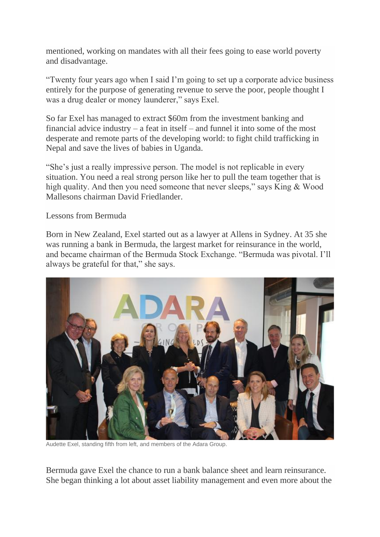mentioned, working on mandates with all their fees going to ease world poverty and disadvantage.

"Twenty four years ago when I said I'm going to set up a corporate advice business entirely for the purpose of generating revenue to serve the poor, people thought I was a drug dealer or money launderer," says Exel.

So far Exel has managed to extract \$60m from the investment banking and financial advice industry – a feat in itself – and funnel it into some of the most desperate and remote parts of the developing world: to fight child trafficking in Nepal and save the lives of babies in Uganda.

"She's just a really impressive person. The model is not replicable in every situation. You need a real strong person like her to pull the team together that is high quality. And then you need someone that never sleeps," says King & Wood Mallesons chairman David Friedlander.

Lessons from Bermuda

Born in New Zealand, Exel started out as a lawyer at Allens in Sydney. At 35 she was running a bank in Bermuda, the largest market for reinsurance in the world, and became chairman of the Bermuda Stock Exchange. "Bermuda was pivotal. I'll always be grateful for that," she says.



Audette Exel, standing fifth from left, and members of the Adara Group.

Bermuda gave Exel the chance to run a bank balance sheet and learn reinsurance. She began thinking a lot about asset liability management and even more about the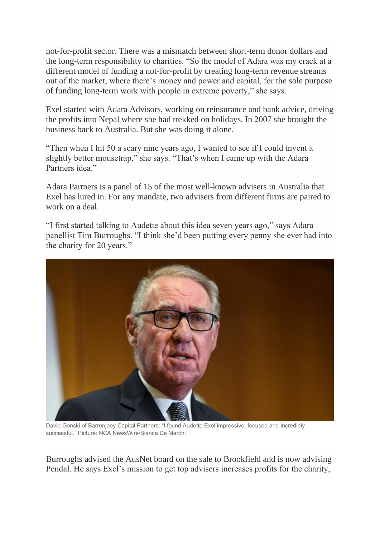not-for-profit sector. There was a mismatch between short-term donor dollars and the long-term responsibility to charities. "So the model of Adara was my crack at a different model of funding a not-for-profit by creating long-term revenue streams out of the market, where there's money and power and capital, for the sole purpose of funding long-term work with people in extreme poverty," she says.

Exel started with Adara Advisors, working on reinsurance and bank advice, driving the profits into Nepal where she had trekked on holidays. In 2007 she brought the business back to Australia. But she was doing it alone.

"Then when I hit 50 a scary nine years ago, I wanted to see if I could invent a slightly better mousetrap," she says. "That's when I came up with the Adara Partners idea."

Adara Partners is a panel of 15 of the most well-known advisers in Australia that Exel has lured in. For any mandate, two advisers from different firms are paired to work on a deal.

"I first started talking to Audette about this idea seven years ago," says Adara panellist Tim Burroughs. "I think she'd been putting every penny she ever had into the charity for 20 years."



David Gonski of Barrenjoey Capital Partners: "I found Audette Exel impressive, focused and incredibly successful." Picture: NCA NewsWire/Bianca De Marchi

Burroughs advised the AusNet board on the sale to Brookfield and is now advising Pendal. He says Exel's mission to get top advisers increases profits for the charity,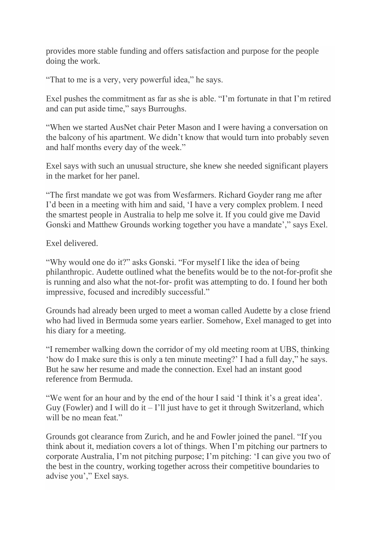provides more stable funding and offers satisfaction and purpose for the people doing the work.

"That to me is a very, very powerful idea," he says.

Exel pushes the commitment as far as she is able. "I'm fortunate in that I'm retired and can put aside time," says Burroughs.

"When we started AusNet chair Peter Mason and I were having a conversation on the balcony of his apartment. We didn't know that would turn into probably seven and half months every day of the week."

Exel says with such an unusual structure, she knew she needed significant players in the market for her panel.

"The first mandate we got was from Wesfarmers. Richard Goyder rang me after I'd been in a meeting with him and said, 'I have a very complex problem. I need the smartest people in Australia to help me solve it. If you could give me David Gonski and Matthew Grounds working together you have a mandate'," says Exel.

Exel delivered.

"Why would one do it?" asks Gonski. "For myself I like the idea of being philanthropic. Audette outlined what the benefits would be to the not-for-profit she is running and also what the not-for- profit was attempting to do. I found her both impressive, focused and incredibly successful."

Grounds had already been urged to meet a woman called Audette by a close friend who had lived in Bermuda some years earlier. Somehow, Exel managed to get into his diary for a meeting.

"I remember walking down the corridor of my old meeting room at UBS, thinking 'how do I make sure this is only a ten minute meeting?' I had a full day," he says. But he saw her resume and made the connection. Exel had an instant good reference from Bermuda.

"We went for an hour and by the end of the hour I said 'I think it's a great idea'. Guy (Fowler) and I will do it  $-1$ 'll just have to get it through Switzerland, which will be no mean feat."

Grounds got clearance from Zurich, and he and Fowler joined the panel. "If you think about it, mediation covers a lot of things. When I'm pitching our partners to corporate Australia, I'm not pitching purpose; I'm pitching: 'I can give you two of the best in the country, working together across their competitive boundaries to advise you'," Exel says.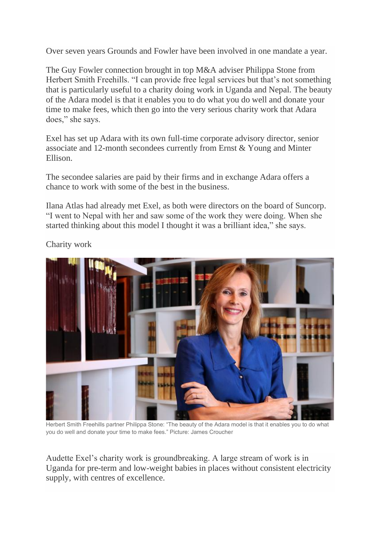Over seven years Grounds and Fowler have been involved in one mandate a year.

The Guy Fowler connection brought in top M&A adviser Philippa Stone from Herbert Smith Freehills. "I can provide free legal services but that's not something that is particularly useful to a charity doing work in Uganda and Nepal. The beauty of the Adara model is that it enables you to do what you do well and donate your time to make fees, which then go into the very serious charity work that Adara does," she says.

Exel has set up Adara with its own full-time corporate advisory director, senior associate and 12-month secondees currently from Ernst & Young and Minter Ellison.

The secondee salaries are paid by their firms and in exchange Adara offers a chance to work with some of the best in the business.

Ilana Atlas had already met Exel, as both were directors on the board of Suncorp. "I went to Nepal with her and saw some of the work they were doing. When she started thinking about this model I thought it was a brilliant idea," she says.



Charity work

Herbert Smith Freehills partner Philippa Stone: "The beauty of the Adara model is that it enables you to do what you do well and donate your time to make fees." Picture: James Croucher

Audette Exel's charity work is groundbreaking. A large stream of work is in Uganda for pre-term and low-weight babies in places without consistent electricity supply, with centres of excellence.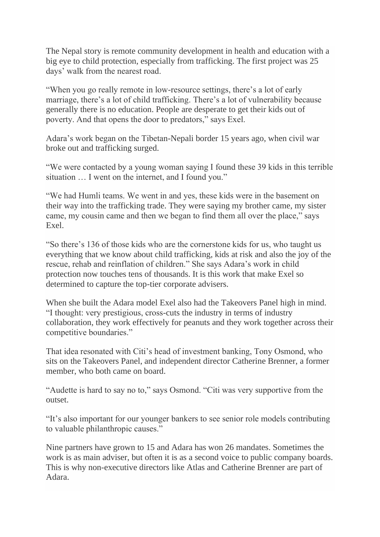The Nepal story is remote community development in health and education with a big eye to child protection, especially from trafficking. The first project was 25 days' walk from the nearest road.

"When you go really remote in low-resource settings, there's a lot of early marriage, there's a lot of child trafficking. There's a lot of vulnerability because generally there is no education. People are desperate to get their kids out of poverty. And that opens the door to predators," says Exel.

Adara's work began on the Tibetan-Nepali border 15 years ago, when civil war broke out and trafficking surged.

"We were contacted by a young woman saying I found these 39 kids in this terrible situation … I went on the internet, and I found you."

"We had Humli teams. We went in and yes, these kids were in the basement on their way into the trafficking trade. They were saying my brother came, my sister came, my cousin came and then we began to find them all over the place," says Exel.

"So there's 136 of those kids who are the cornerstone kids for us, who taught us everything that we know about child trafficking, kids at risk and also the joy of the rescue, rehab and reinflation of children." She says Adara's work in child protection now touches tens of thousands. It is this work that make Exel so determined to capture the top-tier corporate advisers.

When she built the Adara model Exel also had the Takeovers Panel high in mind. "I thought: very prestigious, cross-cuts the industry in terms of industry collaboration, they work effectively for peanuts and they work together across their competitive boundaries."

That idea resonated with Citi's head of investment banking, Tony Osmond, who sits on the Takeovers Panel, and independent director Catherine Brenner, a former member, who both came on board.

"Audette is hard to say no to," says Osmond. "Citi was very supportive from the outset.

"It's also important for our younger bankers to see senior role models contributing to valuable philanthropic causes."

Nine partners have grown to 15 and Adara has won 26 mandates. Sometimes the work is as main adviser, but often it is as a second voice to public company boards. This is why non-executive directors like Atlas and Catherine Brenner are part of Adara.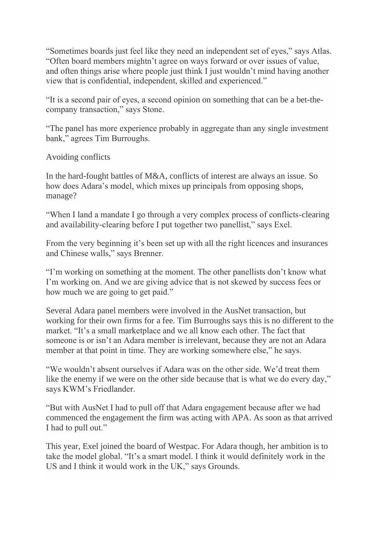"Sometimes boards just feel like they need an independent set of eyes," says Atlas. "Often board members mightn't agree on ways forward or over issues of value, and often things arise where people just think I just wouldn't mind having another view that is confidential, independent, skilled and experienced."

"It is a second pair of eyes, a second opinion on something that can be a bet-thecompany transaction," says Stone.

"The panel has more experience probably in aggregate than any single investment bank," agrees Tim Burroughs.

Avoiding conflicts

In the hard-fought battles of M&A, conflicts of interest are always an issue. So how does Adara's model, which mixes up principals from opposing shops, manage?

"When I land a mandate I go through a very complex process of conflicts-clearing and availability-clearing before I put together two panellist," says Exel.

From the very beginning it's been set up with all the right licences and insurances and Chinese walls," says Brenner.

"I'm working on something at the moment. The other panellists don't know what I'm working on. And we are giving advice that is not skewed by success fees or how much we are going to get paid."

Several Adara panel members were involved in the AusNet transaction, but working for their own firms for a fee. Tim Burroughs says this is no different to the market. "It's a small marketplace and we all know each other. The fact that someone is or isn't an Adara member is irrelevant, because they are not an Adara member at that point in time. They are working somewhere else," he says.

"We wouldn't absent ourselves if Adara was on the other side. We'd treat them like the enemy if we were on the other side because that is what we do every day," says KWM's Friedlander.

"But with AusNet I had to pull off that Adara engagement because after we had commenced the engagement the firm was acting with APA. As soon as that arrived I had to pull out."

This year, Exel joined the board of Westpac. For Adara though, her ambition is to take the model global. "It's a smart model. I think it would definitely work in the US and I think it would work in the UK," says Grounds.